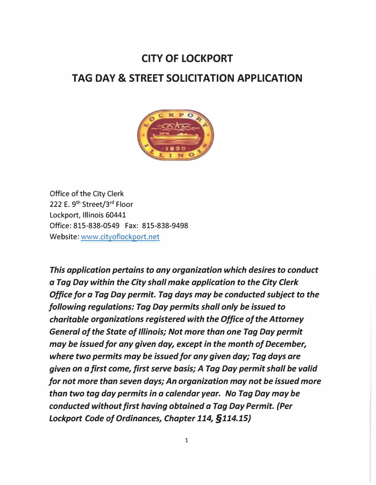# **CITY OF LOCKPORT TAG DAV & STREET SOLICITATION APPLICATION**



Office of the City Clerk 222 E. 9<sup>th</sup> Street/3<sup>rd</sup> Floor Lockport, Illinois 60441 Office: 815-838-0549 Fax: 815-838-9498 Website: www.cityoflockport.net

*This application pertains to any organization which desires to conduct a Tag Day within the City shall make application to the City Clerk Office for a Tag Day permit. Tag days may be conducted subject to the following regulations: Tag Day permits shall only be issued to charitable organizations registered with the Office of the Attorney General of the State of Illinois; Not more than one Tag Day permit may be issued for any given day, except in the month of December, where two permits may be issued for any given day; Tag days are given on a first come, first serve basis; A Tag Day permit shall be valid for not more than seven days; An organization may not be issued more than two tag day permits in a calendar year. No Tag Day may be conducted without first having obtained a Tag Day Permit. (Per Lockport Code of Ordinances, Chapter 114, §114.15)*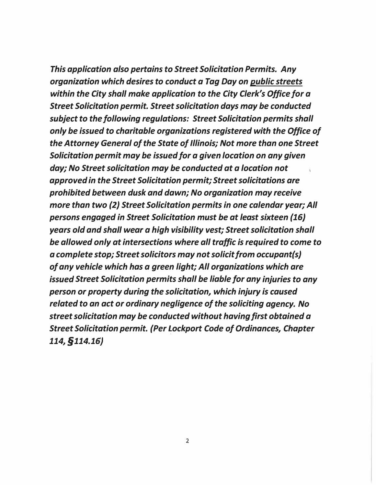*This application also pertains to Street Solicitation Permits. Any organization which desires to conduct a Tag Day on public streets within the City shall make application to the City Clerk's Office for a Street Solicitation permit. Street solicitation days may be conducted subject to the following regulations: Street Solicitation permits shall only be issued to charitable organizations registered with the Office of the Attorney General of the State of Illinois; Not more than one Street Solicitation permit may be issued for a given location on any given day; No Street solicitation may be conducted at a location not approved in the Street Solicitation permit; Streetsolicitations are prohibited between dusk and dawn; No organization may receive more than two (2) Street Solicitation permits in one calendar year;All persons engaged in Street Solicitation must be at least sixteen (16) years old and shall wear a high visibility vest; Street solicitation shall be allowed only at intersections where all traffic is required to come to a complete stop; Street solicitors may notsolicit from occupant(s) of any vehicle which has a green light; All organizations which are issued Street Solicitation permits shall be liable for any injuries to any person or property during the solicitation, which injury is caused related to an act or ordinary negligence of the soliciting agency. No streetsolicitation may be conducted without having first obtained a Street Solicitation permit. (Per Lockport Code of Ordinances, Chapter 114, §114.16)*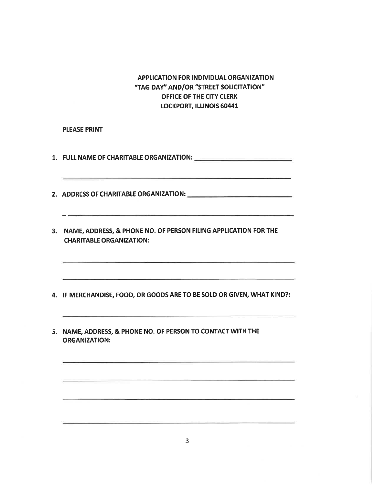## APPLICATION FOR INDIVIDUAL ORGANIZATION "TAG DAY" AND/OR "STREET SOLICITATION" OFFICE OF THE CITY CLERK **LOCKPORT, ILLINOIS 60441**

#### **PLEASE PRINT**

- 
- 
- 3. NAME, ADDRESS, & PHONE NO. OF PERSON FILING APPLICATION FOR THE **CHARITABLE ORGANIZATION:**
- 4. IF MERCHANDISE, FOOD, OR GOODS ARE TO BE SOLD OR GIVEN, WHAT KIND?:
- 5. NAME, ADDRESS, & PHONE NO. OF PERSON TO CONTACT WITH THE **ORGANIZATION:**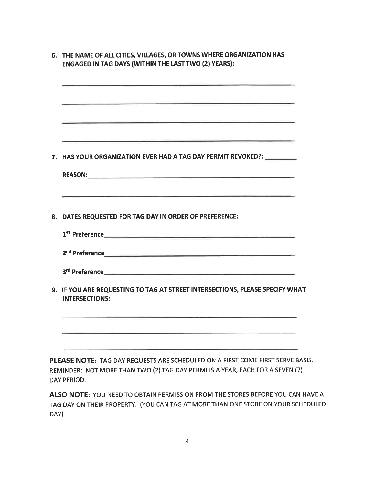| the contract of the contract of the contract of the contract of the contract of the contract of the contract of                                                                                                                                |
|------------------------------------------------------------------------------------------------------------------------------------------------------------------------------------------------------------------------------------------------|
|                                                                                                                                                                                                                                                |
|                                                                                                                                                                                                                                                |
| HAS YOUR ORGANIZATION EVER HAD A TAG DAY PERMIT REVOKED?: __________                                                                                                                                                                           |
|                                                                                                                                                                                                                                                |
| DATES REQUESTED FOR TAG DAY IN ORDER OF PREFERENCE:                                                                                                                                                                                            |
| 1 <sup>ST</sup> Preference <b>All and Structure Contract Contract Contract Contract Contract Contract Contract Contract Contract Contract Contract Contract Contract Contract Contract Contract Contract Contract Contract Contract Contra</b> |
|                                                                                                                                                                                                                                                |
|                                                                                                                                                                                                                                                |
| 9. IF YOU ARE REQUESTING TO TAG AT STREET INTERSECTIONS, PLEASE SPECIFY WHAT<br><b>INTERSECTIONS:</b>                                                                                                                                          |
|                                                                                                                                                                                                                                                |
| PLEASE NOTE: TAG DAY REQUESTS ARE SCHEDULED ON A FIRST COME FIRST SERVE BASIS.                                                                                                                                                                 |

ALSO NOTE: YOU NEED TO OBTAIN PERMISSION FROM THE STORES BEFORE YOU CAN HAVE A TAG DAY ON THEIR PROPERTY. (YOU CAN TAG AT MORE THAN ONE STORE ON YOUR SCHEDULED DAY)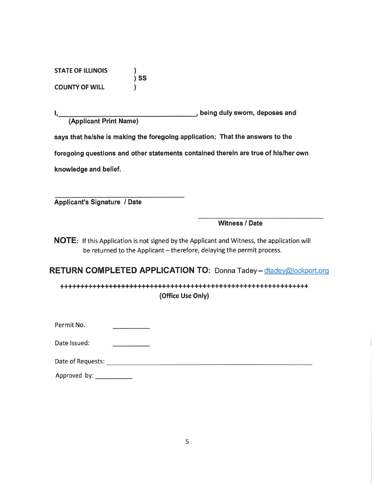**STATE OF ILLINOIS**  $\overline{\phantom{a}}$  is set **COUNTY OF WILL**  $\mathcal{L}$ 

being duly sworn, deposes and (Applicant Print Name)

says that he/she is making the foregoing application; That the answers to the

foregoing questions and other statements contained therein are true of his/her own

knowledge and belief.

**Applicant's Signature / Date** 

**Witness / Date** 

NOTE: If this Application is not signed by the Applicant and Witness, the application will be returned to the Applicant - therefore, delaying the permit process.

**RETURN COMPLETED APPLICATION TO: Donna Tadey - dtadey@lockport.org** 

(Office Use Only)

Permit No.

Date Issued:

Date of Requests: Note and the contract of the contract of the contract of the contract of the contract of the

Approved by: \_\_\_\_\_\_\_\_\_\_\_\_\_\_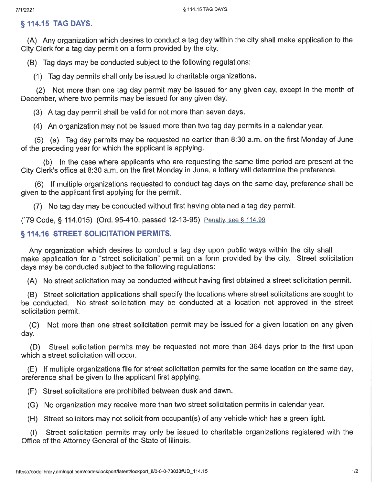# § 114.15 TAG DAYS.

(A) Any organization which desires to conduct a tag day within the city shall make application to the City Clerk for a tag day permit on a form provided by the city.

(B) Tag days may be conducted subject to the following regulations:

(1) Tag day permits shall only be issued to charitable organizations.

(2) Not more than one tag day permit may be issued for any given day, except in the month of December, where two permits may be issued for any given day.

(3) A tag day permit shall be valid for not more than seven days.

(4) An organization may not be issued more than two tag day permits in a calendar year.

(5) (a) Tag day permits may be requested no earlier than 8:30 a.m. on the first Monday of June of the preceding year for which the applicant is applying.

(b) In the case where applicants who are requesting the same time period are present at the City Clerk's office at 8:30 a.m. on the first Monday in June, a lottery will determine the preference.

(6) If multiple organizations requested to conduct tag days on the same day, preference shall be given to the applicant first applying for the permit.

(7) No tag day may be conducted without first having obtained a tag day permit.

(2001) (2007) (2014) (Ord. 95-410, passed 12-13-95) Penalty, see § 114.99

### **§ 114.16 STREET SOLICITATION PERMITS.**

Any organization which desires to conduct a tag day upon public ways within the city shall make application for a "street solicitation" permit on a form provided by the city. Street solicitation days may be conducted subject to the following regulations:

(A) No street solicitation may be conducted without having first obtained a street solicitation permit.

(B) Street solicitation applications shall specify the locations where street solicitations are sought to be conducted. No street solicitation may be conducted at a location not approved in the street solicitation permit.

(C) Not more than one street solicitation permit may be issued for a given location on any given day.

Street solicitation permits may be requested not more than 364 days prior to the first upon (D) which a street solicitation will occur.

(E) If multiple organizations file for street solicitation permits for the same location on the same day, preference shall be given to the applicant first applying.

(F) Street solicitations are prohibited between dusk and dawn.

(G) No organization may receive more than two street solicitation permits in calendar year.

(H) Street solicitors may not solicit from occupant(s) of any vehicle which has a green light.

(I) Street solicitation permits may only be issued to charitable organizations registered with the Office of the Attorney General of the State of Illinois.